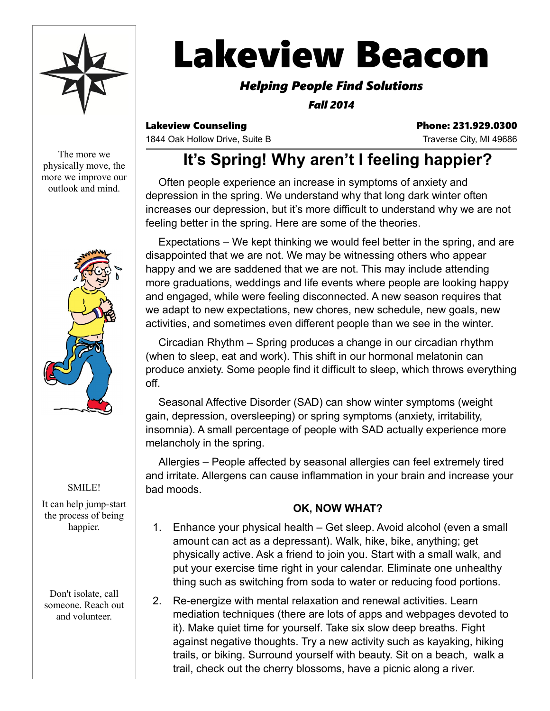

# **Lakeview Beacon**

### *Helping People Find Solutions*

*Fall 2014*

Lakeview Counseling **Phone: 231.929.0300** 

1844 Oak Hollow Drive, Suite B Traverse City, MI 49686

The more we physically move, the more we improve our outlook and mind.



#### SMILE!

It can help jump-start the process of being happier.

Don't isolate, call someone. Reach out and volunteer.

# **It's Spring! Why aren't I feeling happier?**

Often people experience an increase in symptoms of anxiety and depression in the spring. We understand why that long dark winter often increases our depression, but it's more difficult to understand why we are not feeling better in the spring. Here are some of the theories.

Expectations – We kept thinking we would feel better in the spring, and are disappointed that we are not. We may be witnessing others who appear happy and we are saddened that we are not. This may include attending more graduations, weddings and life events where people are looking happy and engaged, while were feeling disconnected. A new season requires that we adapt to new expectations, new chores, new schedule, new goals, new activities, and sometimes even different people than we see in the winter.

Circadian Rhythm – Spring produces a change in our circadian rhythm (when to sleep, eat and work). This shift in our hormonal melatonin can produce anxiety. Some people find it difficult to sleep, which throws everything off.

Seasonal Affective Disorder (SAD) can show winter symptoms (weight gain, depression, oversleeping) or spring symptoms (anxiety, irritability, insomnia). A small percentage of people with SAD actually experience more melancholy in the spring.

Allergies – People affected by seasonal allergies can feel extremely tired and irritate. Allergens can cause inflammation in your brain and increase your bad moods.

#### **OK, NOW WHAT?**

- 1. Enhance your physical health Get sleep. Avoid alcohol (even a small amount can act as a depressant). Walk, hike, bike, anything; get physically active. Ask a friend to join you. Start with a small walk, and put your exercise time right in your calendar. Eliminate one unhealthy thing such as switching from soda to water or reducing food portions.
- 2. Re-energize with mental relaxation and renewal activities. Learn mediation techniques (there are lots of apps and webpages devoted to it). Make quiet time for yourself. Take six slow deep breaths. Fight against negative thoughts. Try a new activity such as kayaking, hiking trails, or biking. Surround yourself with beauty. Sit on a beach, walk a trail, check out the cherry blossoms, have a picnic along a river.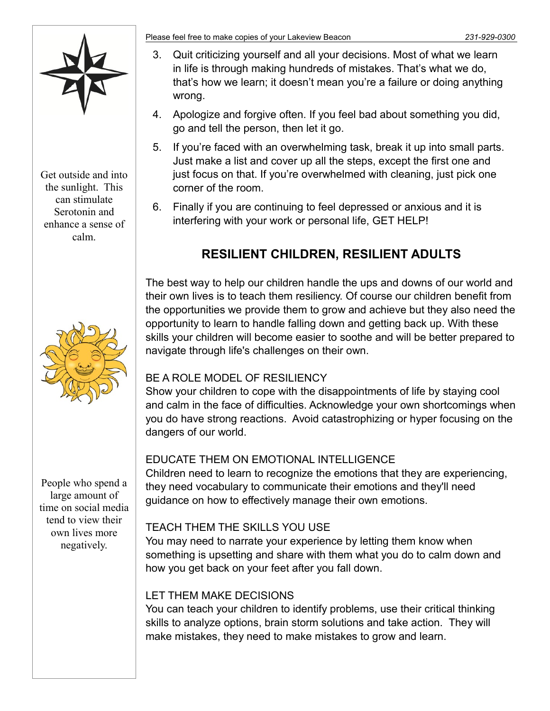

Get outside and into the sunlight. This can stimulate Serotonin and enhance a sense of calm.



People who spend a large amount of time on social media tend to view their own lives more negatively.

Please feel free to make copies of your Lakeview Beacon *231-929-0300*

- 3. Quit criticizing yourself and all your decisions. Most of what we learn in life is through making hundreds of mistakes. That's what we do, that's how we learn; it doesn't mean you're a failure or doing anything wrong.
- 4. Apologize and forgive often. If you feel bad about something you did, go and tell the person, then let it go.
- 5. If you're faced with an overwhelming task, break it up into small parts. Just make a list and cover up all the steps, except the first one and just focus on that. If you're overwhelmed with cleaning, just pick one corner of the room.
- 6. Finally if you are continuing to feel depressed or anxious and it is interfering with your work or personal life, GET HELP!

## **RESILIENT CHILDREN, RESILIENT ADULTS**

The best way to help our children handle the ups and downs of our world and their own lives is to teach them resiliency. Of course our children benefit from the opportunities we provide them to grow and achieve but they also need the opportunity to learn to handle falling down and getting back up. With these skills your children will become easier to soothe and will be better prepared to navigate through life's challenges on their own.

#### BE A ROLE MODEL OF RESILIENCY

Show your children to cope with the disappointments of life by staying cool and calm in the face of difficulties. Acknowledge your own shortcomings when you do have strong reactions. Avoid catastrophizing or hyper focusing on the dangers of our world.

#### EDUCATE THEM ON EMOTIONAL INTELLIGENCE

Children need to learn to recognize the emotions that they are experiencing, they need vocabulary to communicate their emotions and they'll need guidance on how to effectively manage their own emotions.

#### TEACH THEM THE SKILLS YOU USE

You may need to narrate your experience by letting them know when something is upsetting and share with them what you do to calm down and how you get back on your feet after you fall down.

#### LET THEM MAKE DECISIONS

You can teach your children to identify problems, use their critical thinking skills to analyze options, brain storm solutions and take action. They will make mistakes, they need to make mistakes to grow and learn.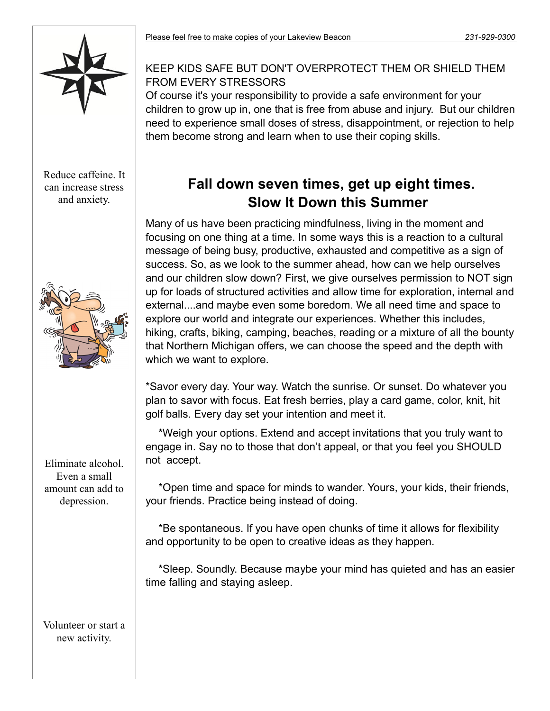

Reduce caffeine. It can increase stress and anxiety.



Eliminate alcohol. Even a small amount can add to depression.

Volunteer or start a new activity.

#### KEEP KIDS SAFE BUT DON'T OVERPROTECT THEM OR SHIELD THEM FROM EVERY STRESSORS

Of course it's your responsibility to provide a safe environment for your children to grow up in, one that is free from abuse and injury. But our children need to experience small doses of stress, disappointment, or rejection to help them become strong and learn when to use their coping skills.

# **Fall down seven times, get up eight times. Slow It Down this Summer**

Many of us have been practicing mindfulness, living in the moment and focusing on one thing at a time. In some ways this is a reaction to a cultural message of being busy, productive, exhausted and competitive as a sign of success. So, as we look to the summer ahead, how can we help ourselves and our children slow down? First, we give ourselves permission to NOT sign up for loads of structured activities and allow time for exploration, internal and external....and maybe even some boredom. We all need time and space to explore our world and integrate our experiences. Whether this includes, hiking, crafts, biking, camping, beaches, reading or a mixture of all the bounty that Northern Michigan offers, we can choose the speed and the depth with which we want to explore.

\*Savor every day. Your way. Watch the sunrise. Or sunset. Do whatever you plan to savor with focus. Eat fresh berries, play a card game, color, knit, hit golf balls. Every day set your intention and meet it.

\*Weigh your options. Extend and accept invitations that you truly want to engage in. Say no to those that don't appeal, or that you feel you SHOULD not accept.

\*Open time and space for minds to wander. Yours, your kids, their friends, your friends. Practice being instead of doing.

\*Be spontaneous. If you have open chunks of time it allows for flexibility and opportunity to be open to creative ideas as they happen.

\*Sleep. Soundly. Because maybe your mind has quieted and has an easier time falling and staying asleep.